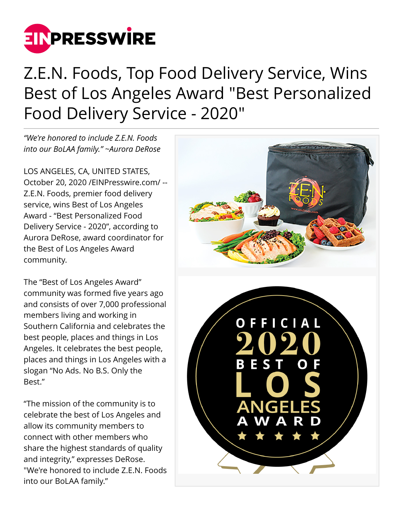

## Z.E.N. Foods, Top Food Delivery Service, Wins Best of Los Angeles Award "Best Personalized Food Delivery Service - 2020"

*"We're honored to include Z.E.N. Foods into our BoLAA family." ~Aurora DeRose*

LOS ANGELES, CA, UNITED STATES, October 20, 2020 [/EINPresswire.com](http://www.einpresswire.com)/ -- Z.E.N. Foods, premier food delivery service, wins Best of Los Angeles Award - "Best Personalized Food Delivery Service - 2020", according to Aurora DeRose, award coordinator for the Best of Los Angeles Award community.

The "Best of Los Angeles Award" community was formed five years ago and consists of over 7,000 professional members living and working in Southern California and celebrates the best people, places and things in Los Angeles. It celebrates the best people, places and things in Los Angeles with a slogan "No Ads. No B.S. Only the Best."

"The mission of the community is to celebrate the best of Los Angeles and allow its community members to connect with other members who share the highest standards of quality and integrity," expresses DeRose. "We're honored to include Z.E.N. Foods into our BoLAA family."